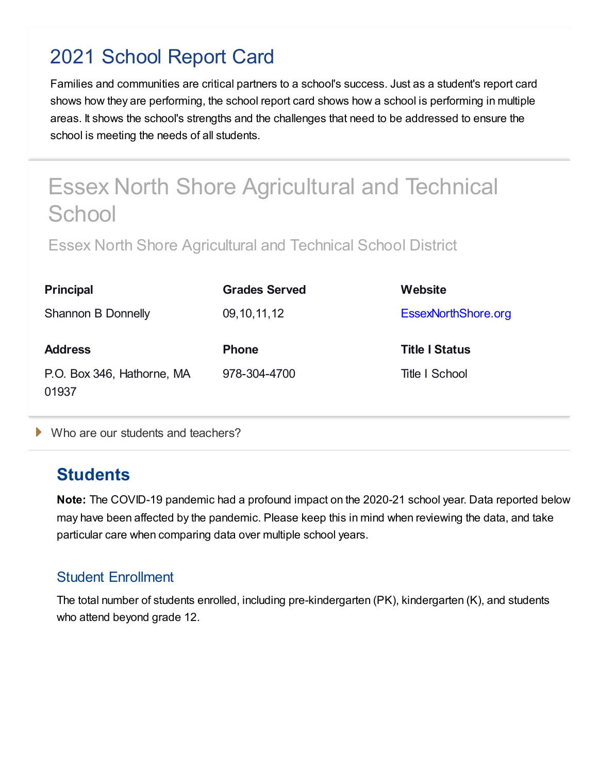# 2021 School Report Card

Families and communities are critical partners to a school's success. Just as a student's report card shows how they are performing, the school report card shows how a school is performing in multiple areas. It shows the school's strengths and the challenges that need to be addressed to ensure the school is meeting the needs of all students.

# Essex North Shore Agricultural and Technical **School**

Essex North Shore Agricultural and Technical School District

| <b>Principal</b>                    | <b>Grades Served</b> | Website               |
|-------------------------------------|----------------------|-----------------------|
| <b>Shannon B Donnelly</b>           | 09, 10, 11, 12       | EssexNorthShore.org   |
| <b>Address</b>                      | <b>Phone</b>         | <b>Title I Status</b> |
| P.O. Box 346, Hathorne, MA<br>01937 | 978-304-4700         | Title I School        |

Who are our students and teachers?

# **Students**

**Note:** The COVID-19 pandemic had a profound impact on the 2020-21 school year. Data reported below may have been affected by the pandemic. Please keep this in mind when reviewing the data, and take particular care when comparing data over multiple school years.

## Student Enrollment

The total number of students enrolled, including pre-kindergarten (PK), kindergarten (K), and students who attend beyond grade 12.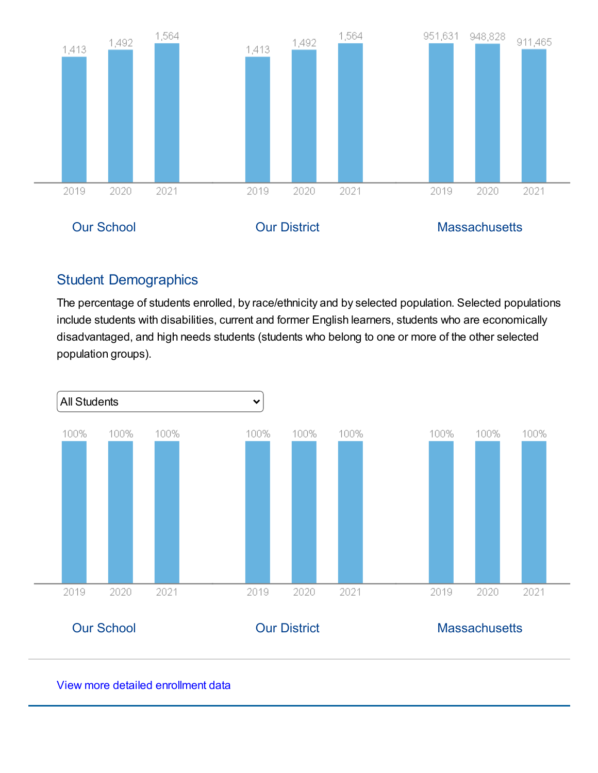

## Student Demographics

The percentage of students enrolled, by race/ethnicity and by selected population. Selected populations include students with disabilities, current and former English learners, students who are economically disadvantaged, and high needs students (students who belong to one or more of the other selected population groups).



#### View more detailed [enrollment](http://profiles.doe.mass.edu/profiles/student.aspx?orgtypecode=6&fycode=2021&type=SCHOOL&orgcode=08170505) data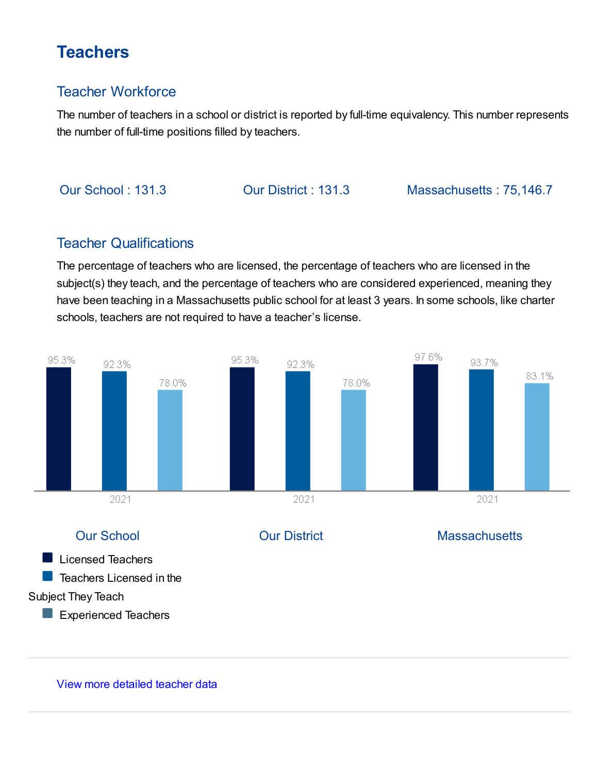# **Teachers**

## Teacher Workforce

The number of teachers in a school or district is reported by full-time equivalency. This number represents the number of full-time positions filled by teachers.

Our School : 131.3 Our District : 131.3 Massachusetts : 75,146.7

## Teacher Qualifications

The percentage of teachers who are licensed, the percentage of teachers who are licensed in the subject(s) they teach, and the percentage of teachers who are considered experienced, meaning they have been teaching in a Massachusetts public school for at least 3 years. In some schools, like charter schools, teachers are not required to have a teacher's license.



View more [detailed](http://profiles.doe.mass.edu/profiles/teacher.aspx?orgcode=08170505&fycode=2021) teacher data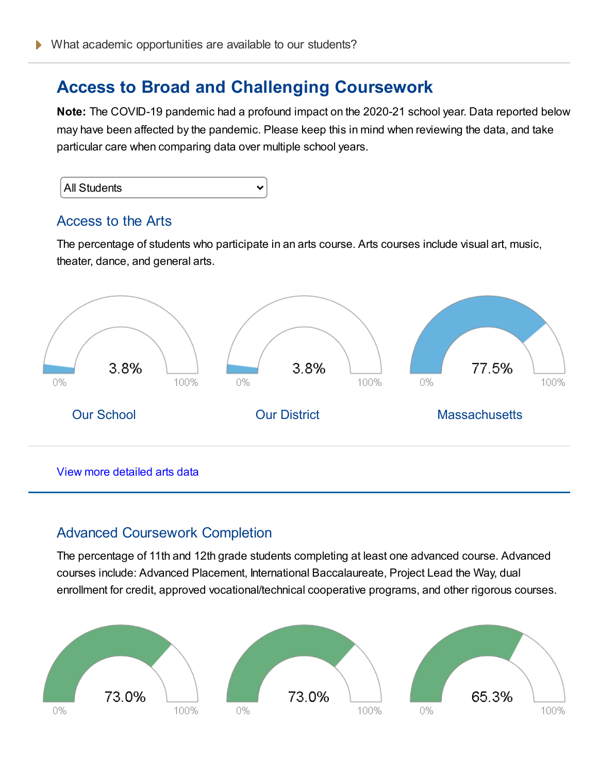# **Access to Broad and Challenging Coursework**

**Note:** The COVID-19 pandemic had a profound impact on the 2020-21 school year. Data reported below may have been affected by the pandemic. Please keep this in mind when reviewing the data, and take particular care when comparing data over multiple school years.

| All Students |  |
|--------------|--|
|--------------|--|

## Access to the Arts

The percentage of students who participate in an arts course. Arts courses include visual art, music, theater, dance, and general arts.



#### View more detailed [arts data](http://profiles.doe.mass.edu/profiles/student.aspx?orgtypecode=6&leftNavId=16822&fycode=2021&orgcode=08170505)

## Advanced Coursework Completion

The percentage of 11th and 12th grade students completing at least one advanced course. Advanced courses include: Advanced Placement, International Baccalaureate, Project Lead the Way, dual enrollment for credit, approved vocational/technical cooperative programs, and other rigorous courses.

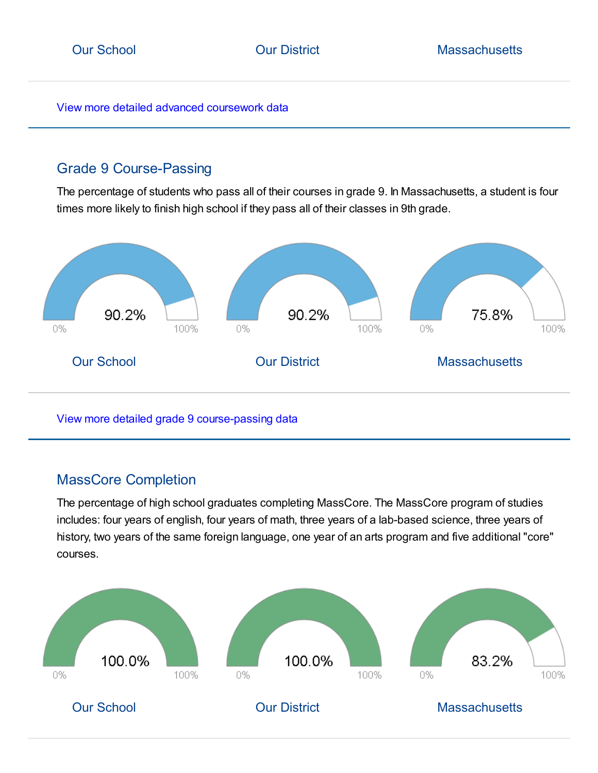#### View more detailed advanced [coursework data](http://profiles.doe.mass.edu/profiles/student.aspx?orgtypecode=6&leftNavId=16825&fycode=2021&orgcode=08170505)

## Grade 9 Course-Passing

The percentage of students who pass all of their courses in grade 9. In Massachusetts, a student is four times more likely to finish high school if they pass all of their classes in 9th grade.



View more detailed grade 9 [course-passing](http://profiles.doe.mass.edu/profiles/student.aspx?orgtypecode=6&leftNavId=16823&fycode=2021&orgcode=08170505) data

## MassCore Completion

The percentage of high school graduates completing MassCore. The MassCore program of studies includes: four years of english, four years of math, three years of a lab-based science, three years of history, two years of the same foreign language, one year of an arts program and five additional "core" courses.

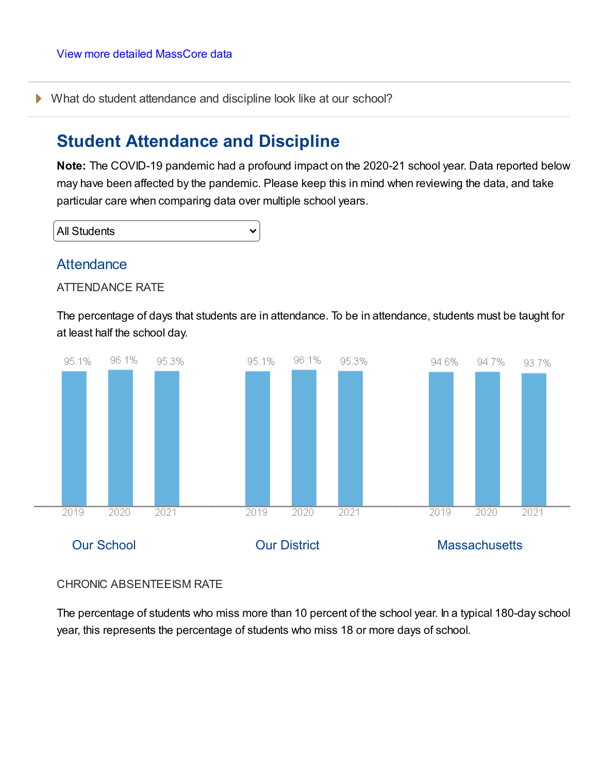What do student attendance and discipline look like at our school?

## **Student Attendance and Discipline**

**Note:** The COVID-19 pandemic had a profound impact on the 2020-21 school year. Data reported below may have been affected by the pandemic. Please keep this in mind when reviewing the data, and take particular care when comparing data over multiple school years.

All Students  $\checkmark$ 

### **Attendance**

ATTENDANCE RATE

The percentage of days that students are in attendance. To be in attendance, students must be taught for at least half the school day.



#### CHRONIC ABSENTEEISM RATE

The percentage of students who miss more than 10 percent of the school year. In a typical 180-day school year, this represents the percentage of students who miss 18 or more days of school.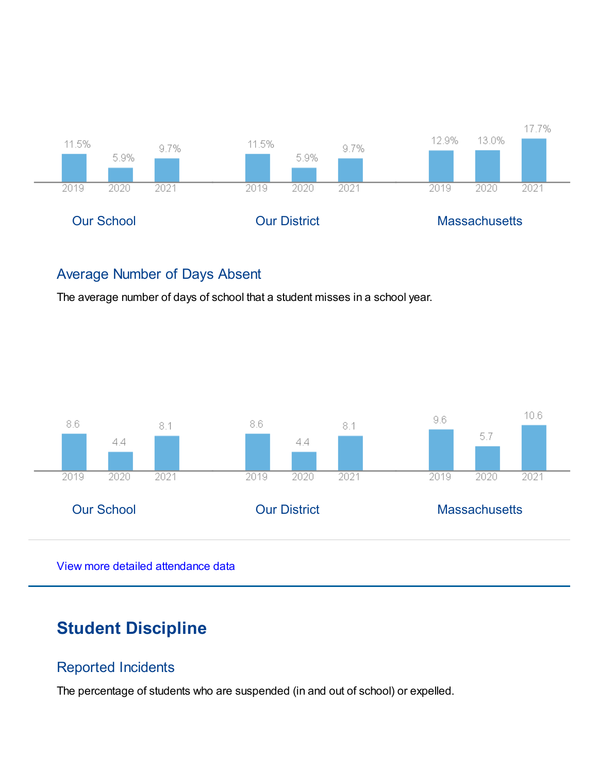

## Average Number of Days Absent

The average number of days of school that a student misses in a school year.



View more detailed [attendance](http://profiles.doe.mass.edu/profiles/student.aspx?orgcode=08170505&orgtypecode=6&leftNavID=16817&fycode=2021) data

# **Student Discipline**

## Reported Incidents

The percentage of students who are suspended (in and out of school) or expelled.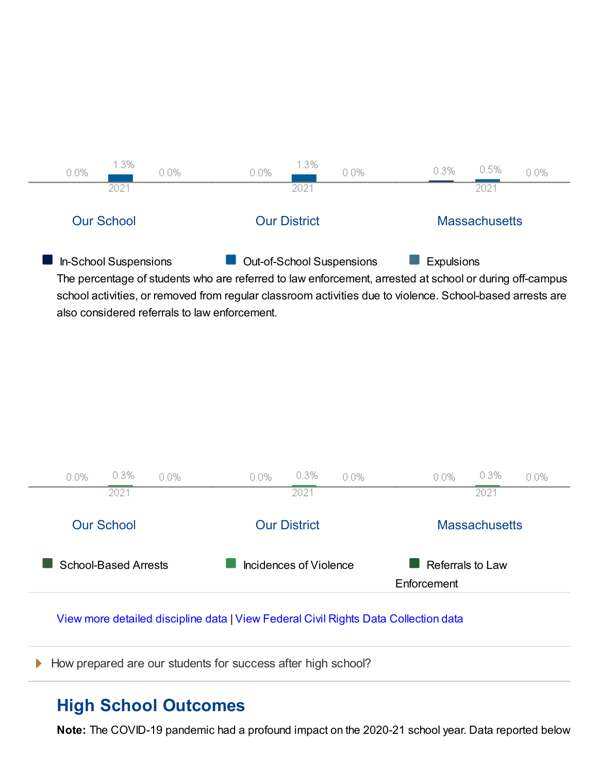

school activities, or removed from regular classroom activities due to violence. School-based arrests are also considered referrals to law enforcement.



View more detailed [discipline](http://profiles.doe.mass.edu/ssdr/default.aspx?orgcode=08170505&fycode=2021) data | View Federal Civil [Rights Data](http://www.doe.mass.edu/infoservices/federal/) Collection data

How prepared are our students for success after high school?

# **High School Outcomes**

**Note:** The COVID-19 pandemic had a profound impact on the 2020-21 school year. Data reported below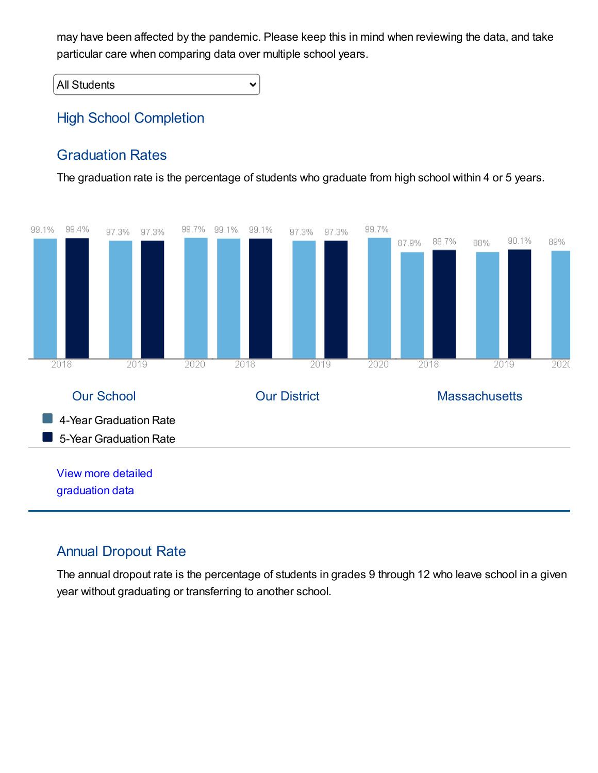may have been affected by the pandemic. Please keep this in mind when reviewing the data, and take particular care when comparing data over multiple school years.

All Students  $\checkmark$ 

## High School Completion

## Graduation Rates

The graduation rate is the percentage of students who graduate from high school within 4 or 5 years.



## Annual Dropout Rate

The annual dropout rate is the percentage of students in grades 9 through 12 who leave school in a given year without graduating or transferring to another school.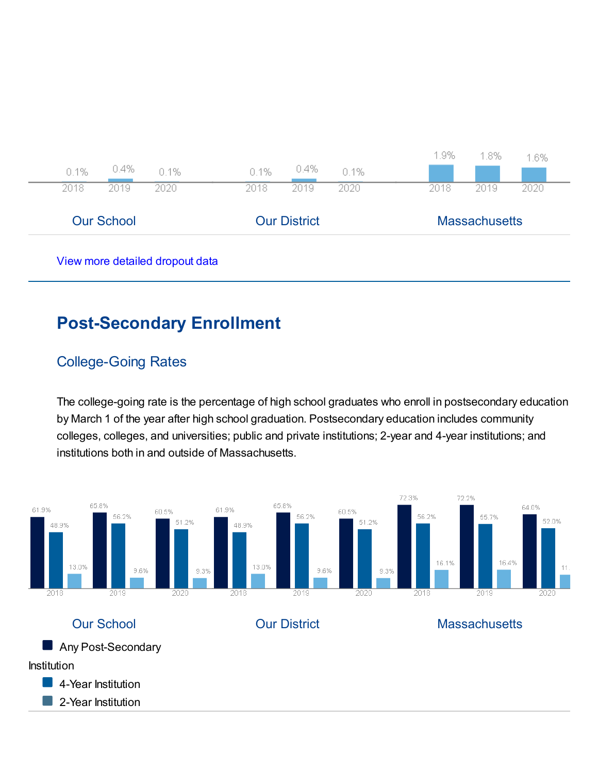

#### View more [detailed](http://profiles.doe.mass.edu/dropout/default.aspx?&orgtypecode=6&orgcode=08170505&TYPE=DISTRICT&fycode=2021) dropout data

# **Post-Secondary Enrollment**

## College-Going Rates

The college-going rate is the percentage of high school graduates who enroll in postsecondary education by March 1 of the year after high school graduation. Postsecondary education includes community colleges, colleges, and universities; public and private institutions; 2-year and 4-year institutions; and institutions both in and outside of Massachusetts.



Any Post-Secondary

#### **Our School Cure District Cure District Massachusetts**



4-Year Institution

2-Year Institution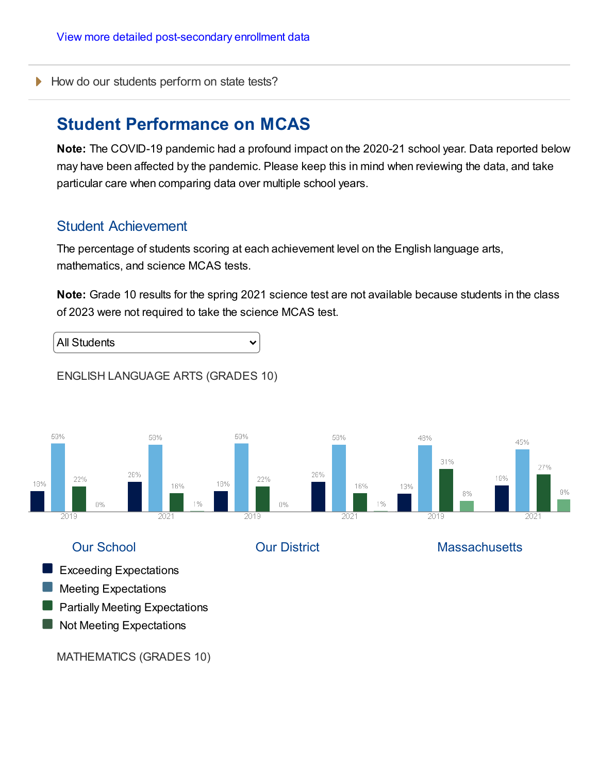How do our students perform on state tests?

## **Student Performance on MCAS**

**Note:** The COVID-19 pandemic had a profound impact on the 2020-21 school year. Data reported below may have been affected by the pandemic. Please keep this in mind when reviewing the data, and take particular care when comparing data over multiple school years.

### Student Achievement

The percentage of students scoring at each achievement level on the English language arts, mathematics, and science MCAS tests.

**Note:** Grade 10 results for the spring 2021 science test are not available because students in the class of 2023 were not required to take the science MCAS test.



#### ENGLISH LANGUAGE ARTS (GRADES 10)



- **EXceeding Expectations**
- Meeting Expectations
- Partially Meeting Expectations
- Not Meeting Expectations

MATHEMATICS (GRADES 10)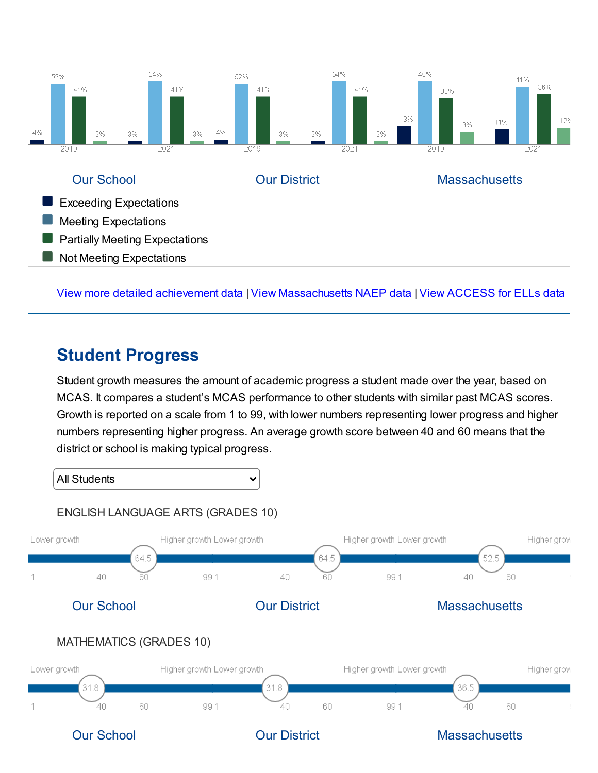

View more detailed [achievement](http://profiles.doe.mass.edu/mcas/achievement_level.aspx?linkid=32&orgcode=08170505&orgtypecode=6&fycode=2021&subject=ELA) data | View [Massachusetts NAEP](https://www.nationsreportcard.gov/profiles/stateprofile/overview/MA?cti=PgTab_OT&chort=1&sub=MAT&sj=MA&fs=Grade&st=MN&year=2017R3&sg=Gender%3A+Male+vs.+Female&sgv=Difference&ts=Single+Year&sfj=NP) data | View ACCESS for [ELLs data](http://www.doe.mass.edu/mcas/access/results.html)

# **Student Progress**

Student growth measures the amount of academic progress a student made over the year, based on MCAS. It compares a student's MCAS performance to other students with similar past MCAS scores. Growth is reported on a scale from 1 to 99, with lower numbers representing lower progress and higher numbers representing higher progress. An average growth score between 40 and 60 means that the district or school is making typical progress.

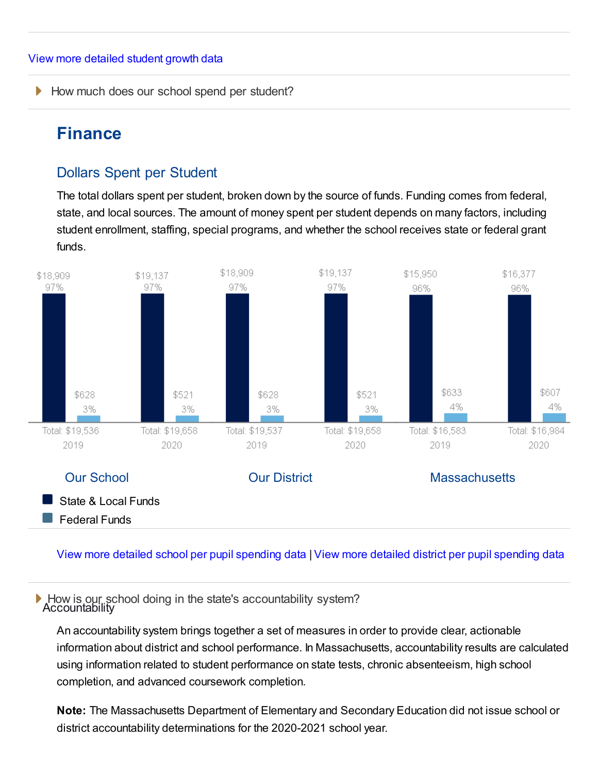How much does our school spend per student?

# **Finance**

## Dollars Spent per Student

The total dollars spent per student, broken down by the source of funds. Funding comes from federal, state, and local sources. The amount of money spent per student depends on many factors, including student enrollment, staffing, special programs, and whether the school receives state or federal grant funds.



Federal Funds

#### View more detailed school per pupil [spending](http://www.doe.mass.edu/finance/statistics/) data | View more detailed district per pupil [spending](http://profiles.doe.mass.edu/statereport/ppx.aspx) data

How is our school doing in the state's accountability system? **Accountability** 

An accountability system brings together a set of measures in order to provide clear, actionable information about district and school performance. In Massachusetts, accountability results are calculated using information related to student performance on state tests, chronic absenteeism, high school completion, and advanced coursework completion.

**Note:** The Massachusetts Department of Elementary and Secondary Education did not issue school or district accountability determinations for the 2020-2021 school year.